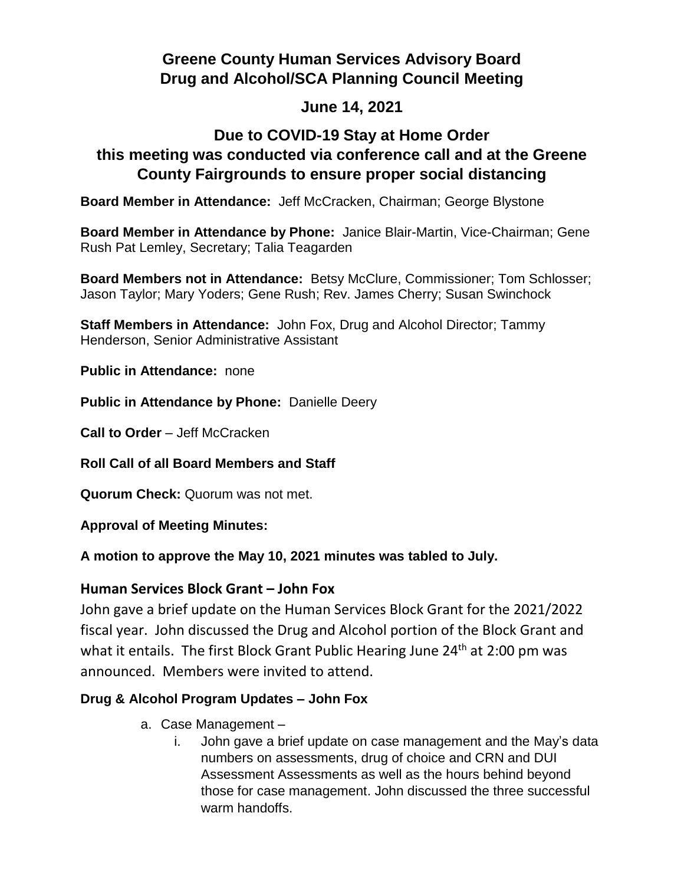# **Greene County Human Services Advisory Board Drug and Alcohol/SCA Planning Council Meeting**

### **June 14, 2021**

## **Due to COVID-19 Stay at Home Order this meeting was conducted via conference call and at the Greene County Fairgrounds to ensure proper social distancing**

**Board Member in Attendance:** Jeff McCracken, Chairman; George Blystone

**Board Member in Attendance by Phone:** Janice Blair-Martin, Vice-Chairman; Gene Rush Pat Lemley, Secretary; Talia Teagarden

**Board Members not in Attendance:** Betsy McClure, Commissioner; Tom Schlosser; Jason Taylor; Mary Yoders; Gene Rush; Rev. James Cherry; Susan Swinchock

**Staff Members in Attendance:** John Fox, Drug and Alcohol Director; Tammy Henderson, Senior Administrative Assistant

**Public in Attendance:** none

**Public in Attendance by Phone:** Danielle Deery

**Call to Order** – Jeff McCracken

**Roll Call of all Board Members and Staff**

**Quorum Check:** Quorum was not met.

**Approval of Meeting Minutes:**

**A motion to approve the May 10, 2021 minutes was tabled to July.**

### **Human Services Block Grant – John Fox**

John gave a brief update on the Human Services Block Grant for the 2021/2022 fiscal year. John discussed the Drug and Alcohol portion of the Block Grant and what it entails. The first Block Grant Public Hearing June  $24<sup>th</sup>$  at 2:00 pm was announced. Members were invited to attend.

### **Drug & Alcohol Program Updates – John Fox**

- a. Case Management
	- i. John gave a brief update on case management and the May's data numbers on assessments, drug of choice and CRN and DUI Assessment Assessments as well as the hours behind beyond those for case management. John discussed the three successful warm handoffs.